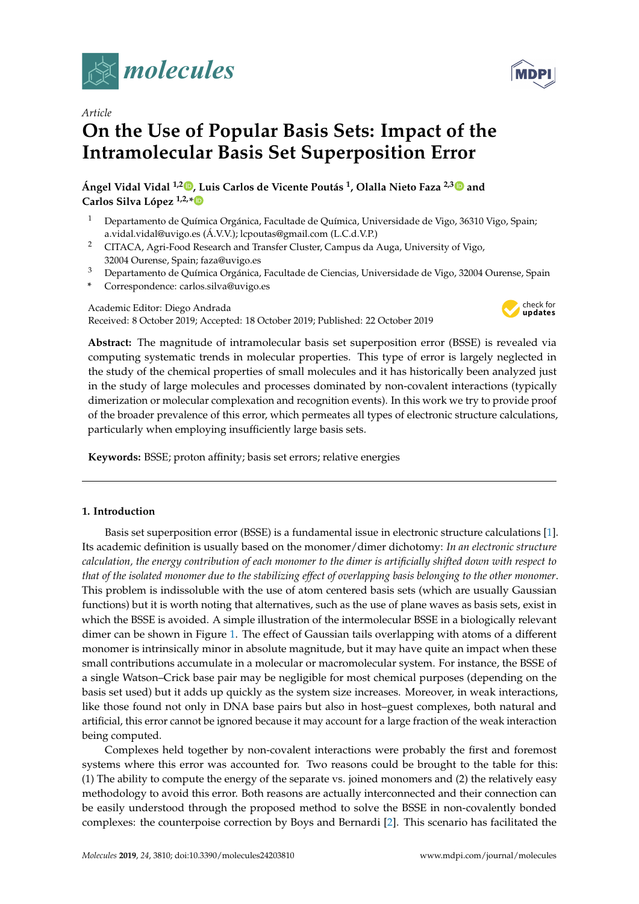

*Article*

# **On the Use of Popular Basis Sets: Impact of the Intramolecular Basis Set Superposition Error**

**Ángel Vidal Vidal 1,2 [,](https://orcid.org/0000-0002-5876-5431) Luis Carlos de Vicente Poutás <sup>1</sup> , Olalla Nieto Faza 2,[3](https://orcid.org/0000-0001-8754-1341) and Carlos Silva López 1,2,[\\*](https://orcid.org/0000-0003-4955-9844)**

- <sup>1</sup> Departamento de Química Orgánica, Facultade de Química, Universidade de Vigo, 36310 Vigo, Spain; a.vidal.vidal@uvigo.es (Á.V.V.); lcpoutas@gmail.com (L.C.d.V.P.)
- <sup>2</sup> CITACA, Agri-Food Research and Transfer Cluster, Campus da Auga, University of Vigo, 32004 Ourense, Spain; faza@uvigo.es
- <sup>3</sup> Departamento de Química Orgánica, Facultade de Ciencias, Universidade de Vigo, 32004 Ourense, Spain
- **\*** Correspondence: carlos.silva@uvigo.es

Academic Editor: Diego Andrada Received: 8 October 2019; Accepted: 18 October 2019; Published: 22 October 2019



**Abstract:** The magnitude of intramolecular basis set superposition error (BSSE) is revealed via computing systematic trends in molecular properties. This type of error is largely neglected in the study of the chemical properties of small molecules and it has historically been analyzed just in the study of large molecules and processes dominated by non-covalent interactions (typically dimerization or molecular complexation and recognition events). In this work we try to provide proof of the broader prevalence of this error, which permeates all types of electronic structure calculations, particularly when employing insufficiently large basis sets.

**Keywords:** BSSE; proton affinity; basis set errors; relative energies

## **1. Introduction**

Basis set superposition error (BSSE) is a fundamental issue in electronic structure calculations [\[1\]](#page-7-0). Its academic definition is usually based on the monomer/dimer dichotomy: *In an electronic structure calculation, the energy contribution of each monomer to the dimer is artificially shifted down with respect to that of the isolated monomer due to the stabilizing effect of overlapping basis belonging to the other monomer*. This problem is indissoluble with the use of atom centered basis sets (which are usually Gaussian functions) but it is worth noting that alternatives, such as the use of plane waves as basis sets, exist in which the BSSE is avoided. A simple illustration of the intermolecular BSSE in a biologically relevant dimer can be shown in Figure [1.](#page-1-0) The effect of Gaussian tails overlapping with atoms of a different monomer is intrinsically minor in absolute magnitude, but it may have quite an impact when these small contributions accumulate in a molecular or macromolecular system. For instance, the BSSE of a single Watson–Crick base pair may be negligible for most chemical purposes (depending on the basis set used) but it adds up quickly as the system size increases. Moreover, in weak interactions, like those found not only in DNA base pairs but also in host–guest complexes, both natural and artificial, this error cannot be ignored because it may account for a large fraction of the weak interaction being computed.

Complexes held together by non-covalent interactions were probably the first and foremost systems where this error was accounted for. Two reasons could be brought to the table for this: (1) The ability to compute the energy of the separate vs. joined monomers and (2) the relatively easy methodology to avoid this error. Both reasons are actually interconnected and their connection can be easily understood through the proposed method to solve the BSSE in non-covalently bonded complexes: the counterpoise correction by Boys and Bernardi [\[2\]](#page-7-1). This scenario has facilitated the

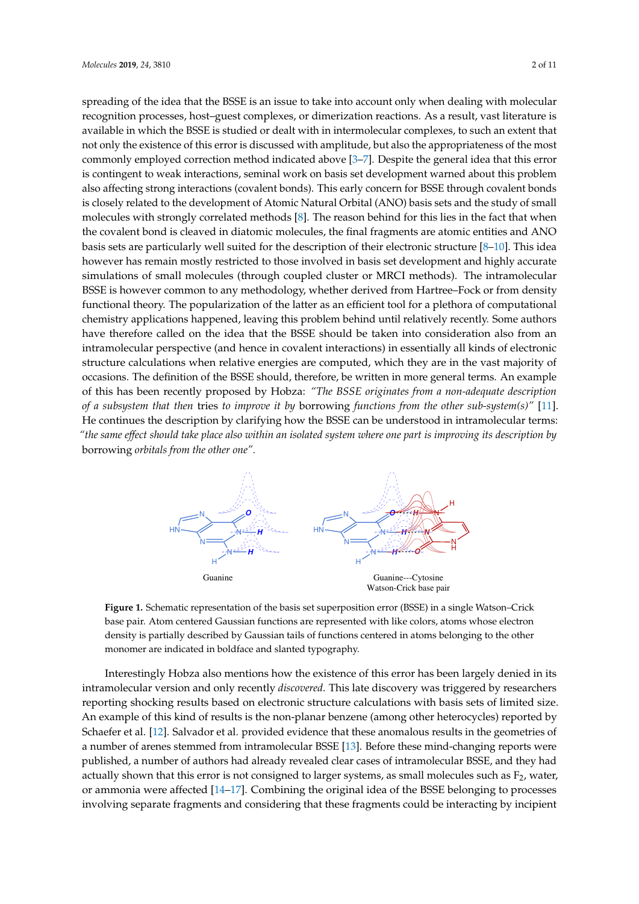spreading of the idea that the BSSE is an issue to take into account only when dealing with molecular recognition processes, host–guest complexes, or dimerization reactions. As a result, vast literature is available in which the BSSE is studied or dealt with in intermolecular complexes, to such an extent that not only the existence of this error is discussed with amplitude, but also the appropriateness of the most commonly employed correction method indicated above [\[3](#page-7-2)[–7\]](#page-7-3). Despite the general idea that this error is contingent to weak interactions, seminal work on basis set development warned about this problem also affecting strong interactions (covalent bonds). This early concern for BSSE through covalent bonds is closely related to the development of Atomic Natural Orbital (ANO) basis sets and the study of small molecules with strongly correlated methods [\[8\]](#page-7-4). The reason behind for this lies in the fact that when the covalent bond is cleaved in diatomic molecules, the final fragments are atomic entities and ANO basis sets are particularly well suited for the description of their electronic structure [\[8](#page-7-4)[–10\]](#page-7-5). This idea however has remain mostly restricted to those involved in basis set development and highly accurate simulations of small molecules (through coupled cluster or MRCI methods). The intramolecular BSSE is however common to any methodology, whether derived from Hartree–Fock or from density functional theory. The popularization of the latter as an efficient tool for a plethora of computational chemistry applications happened, leaving this problem behind until relatively recently. Some authors have therefore called on the idea that the BSSE should be taken into consideration also from an intramolecular perspective (and hence in covalent interactions) in essentially all kinds of electronic structure calculations when relative energies are computed, which they are in the vast majority of occasions. The definition of the BSSE should, therefore, be written in more general terms. An example of this has been recently proposed by Hobza: *"The BSSE originates from a non-adequate description of a subsystem that then* tries *to improve it by* borrowing *functions from the other sub-system(s)"* [\[11\]](#page-8-0). He continues the description by clarifying how the BSSE can be understood in intramolecular terms: *"the same effect should take place also within an isolated system where one part is improving its description by* borrowing *orbitals from the other one".*

<span id="page-1-0"></span>

**Figure 1.** Schematic representation of the basis set superposition error (BSSE) in a single Watson–Crick base pair. Atom centered Gaussian functions are represented with like colors, atoms whose electron density is partially described by Gaussian tails of functions centered in atoms belonging to the other monomer are indicated in boldface and slanted typography.

Interestingly Hobza also mentions how the existence of this error has been largely denied in its intramolecular version and only recently *discovered*. This late discovery was triggered by researchers reporting shocking results based on electronic structure calculations with basis sets of limited size. An example of this kind of results is the non-planar benzene (among other heterocycles) reported by Schaefer et al. [\[12\]](#page-8-1). Salvador et al. provided evidence that these anomalous results in the geometries of a number of arenes stemmed from intramolecular BSSE [\[13\]](#page-8-2). Before these mind-changing reports were published, a number of authors had already revealed clear cases of intramolecular BSSE, and they had actually shown that this error is not consigned to larger systems, as small molecules such as  $F_2$ , water, or ammonia were affected [\[14–](#page-8-3)[17\]](#page-8-4). Combining the original idea of the BSSE belonging to processes involving separate fragments and considering that these fragments could be interacting by incipient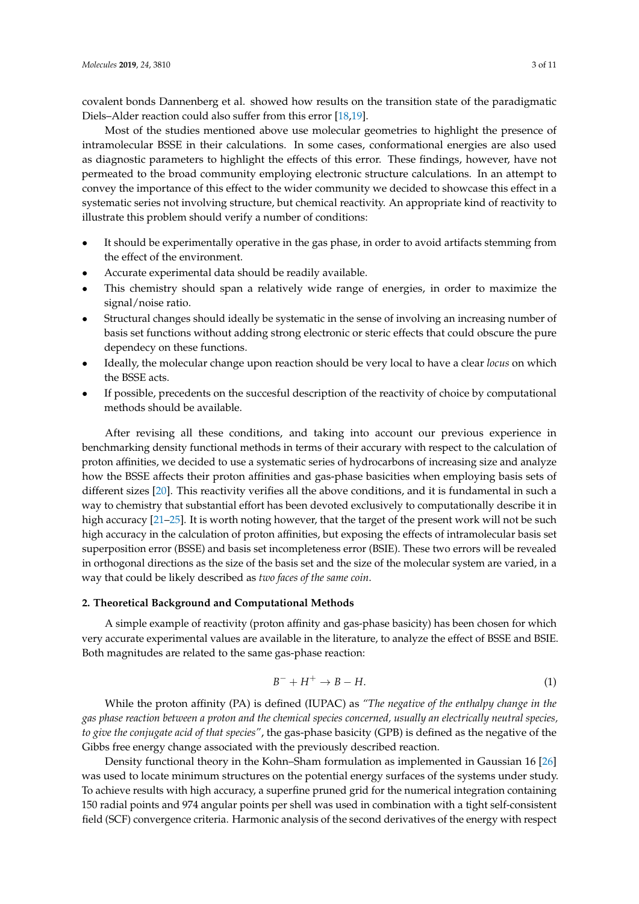covalent bonds Dannenberg et al. showed how results on the transition state of the paradigmatic Diels–Alder reaction could also suffer from this error [\[18,](#page-8-5)[19\]](#page-8-6).

Most of the studies mentioned above use molecular geometries to highlight the presence of intramolecular BSSE in their calculations. In some cases, conformational energies are also used as diagnostic parameters to highlight the effects of this error. These findings, however, have not permeated to the broad community employing electronic structure calculations. In an attempt to convey the importance of this effect to the wider community we decided to showcase this effect in a systematic series not involving structure, but chemical reactivity. An appropriate kind of reactivity to illustrate this problem should verify a number of conditions:

- It should be experimentally operative in the gas phase, in order to avoid artifacts stemming from the effect of the environment.
- Accurate experimental data should be readily available.
- This chemistry should span a relatively wide range of energies, in order to maximize the signal/noise ratio.
- Structural changes should ideally be systematic in the sense of involving an increasing number of basis set functions without adding strong electronic or steric effects that could obscure the pure dependecy on these functions.
- Ideally, the molecular change upon reaction should be very local to have a clear *locus* on which the BSSE acts.
- If possible, precedents on the succesful description of the reactivity of choice by computational methods should be available.

After revising all these conditions, and taking into account our previous experience in benchmarking density functional methods in terms of their accurary with respect to the calculation of proton affinities, we decided to use a systematic series of hydrocarbons of increasing size and analyze how the BSSE affects their proton affinities and gas-phase basicities when employing basis sets of different sizes [\[20\]](#page-8-7). This reactivity verifies all the above conditions, and it is fundamental in such a way to chemistry that substantial effort has been devoted exclusively to computationally describe it in high accuracy [\[21](#page-8-8)[–25\]](#page-8-9). It is worth noting however, that the target of the present work will not be such high accuracy in the calculation of proton affinities, but exposing the effects of intramolecular basis set superposition error (BSSE) and basis set incompleteness error (BSIE). These two errors will be revealed in orthogonal directions as the size of the basis set and the size of the molecular system are varied, in a way that could be likely described as *two faces of the same coin*.

## **2. Theoretical Background and Computational Methods**

A simple example of reactivity (proton affinity and gas-phase basicity) has been chosen for which very accurate experimental values are available in the literature, to analyze the effect of BSSE and BSIE. Both magnitudes are related to the same gas-phase reaction:

$$
B^- + H^+ \to B - H. \tag{1}
$$

While the proton affinity (PA) is defined (IUPAC) as *"The negative of the enthalpy change in the gas phase reaction between a proton and the chemical species concerned, usually an electrically neutral species, to give the conjugate acid of that species"*, the gas-phase basicity (GPB) is defined as the negative of the Gibbs free energy change associated with the previously described reaction.

Density functional theory in the Kohn–Sham formulation as implemented in Gaussian 16 [\[26\]](#page-8-10) was used to locate minimum structures on the potential energy surfaces of the systems under study. To achieve results with high accuracy, a superfine pruned grid for the numerical integration containing 150 radial points and 974 angular points per shell was used in combination with a tight self-consistent field (SCF) convergence criteria. Harmonic analysis of the second derivatives of the energy with respect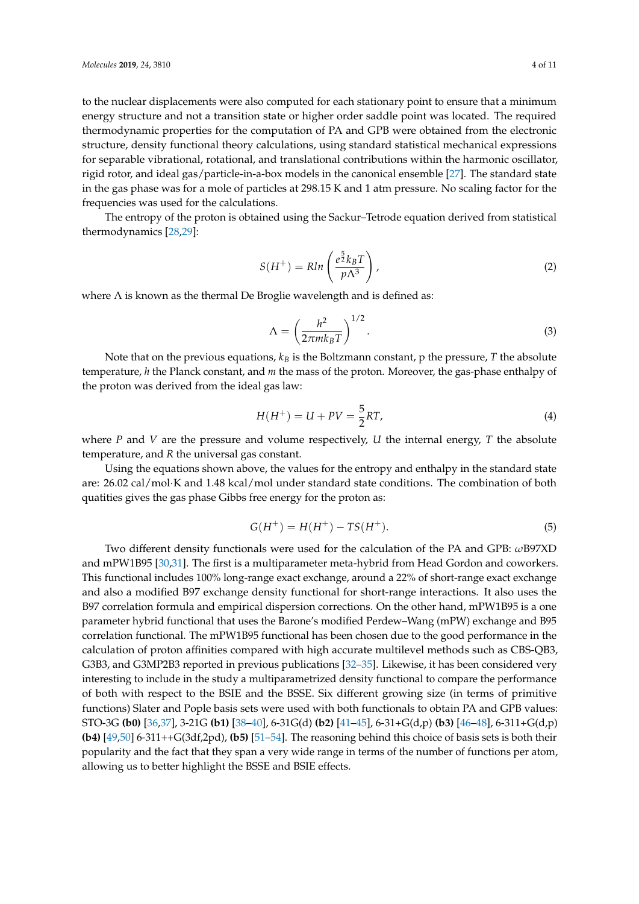to the nuclear displacements were also computed for each stationary point to ensure that a minimum energy structure and not a transition state or higher order saddle point was located. The required thermodynamic properties for the computation of PA and GPB were obtained from the electronic structure, density functional theory calculations, using standard statistical mechanical expressions for separable vibrational, rotational, and translational contributions within the harmonic oscillator, rigid rotor, and ideal gas/particle-in-a-box models in the canonical ensemble [\[27\]](#page-8-11). The standard state in the gas phase was for a mole of particles at 298.15 K and 1 atm pressure. No scaling factor for the frequencies was used for the calculations.

The entropy of the proton is obtained using the Sackur–Tetrode equation derived from statistical thermodynamics [\[28,](#page-8-12)[29\]](#page-8-13):

$$
S(H^{+}) = Rln\left(\frac{e^{\frac{5}{2}}k_{B}T}{p\Lambda^{3}}\right),
$$
\n(2)

where  $\Lambda$  is known as the thermal De Broglie wavelength and is defined as:

$$
\Lambda = \left(\frac{h^2}{2\pi mk_B T}\right)^{1/2}.\tag{3}
$$

Note that on the previous equations,  $k_B$  is the Boltzmann constant, p the pressure, *T* the absolute temperature, *h* the Planck constant, and *m* the mass of the proton. Moreover, the gas-phase enthalpy of the proton was derived from the ideal gas law:

$$
H(H^{+}) = U + PV = \frac{5}{2}RT,
$$
\n(4)

where *P* and *V* are the pressure and volume respectively, *U* the internal energy, *T* the absolute temperature, and *R* the universal gas constant.

Using the equations shown above, the values for the entropy and enthalpy in the standard state are: 26.02 cal/mol·K and 1.48 kcal/mol under standard state conditions. The combination of both quatities gives the gas phase Gibbs free energy for the proton as:

$$
G(H^{+}) = H(H^{+}) - TS(H^{+}).
$$
\n(5)

Two different density functionals were used for the calculation of the PA and GPB: *ω*B97XD and mPW1B95 [\[30,](#page-8-14)[31\]](#page-8-15). The first is a multiparameter meta-hybrid from Head Gordon and coworkers. This functional includes 100% long-range exact exchange, around a 22% of short-range exact exchange and also a modified B97 exchange density functional for short-range interactions. It also uses the B97 correlation formula and empirical dispersion corrections. On the other hand, mPW1B95 is a one parameter hybrid functional that uses the Barone's modified Perdew–Wang (mPW) exchange and B95 correlation functional. The mPW1B95 functional has been chosen due to the good performance in the calculation of proton affinities compared with high accurate multilevel methods such as CBS-QB3, G3B3, and G3MP2B3 reported in previous publications [\[32](#page-8-16)[–35\]](#page-9-0). Likewise, it has been considered very interesting to include in the study a multiparametrized density functional to compare the performance of both with respect to the BSIE and the BSSE. Six different growing size (in terms of primitive functions) Slater and Pople basis sets were used with both functionals to obtain PA and GPB values: STO-3G **(b0)** [\[36,](#page-9-1)[37\]](#page-9-2), 3-21G **(b1)** [\[38](#page-9-3)[–40\]](#page-9-4), 6-31G(d) **(b2)** [\[41–](#page-9-5)[45\]](#page-9-6), 6-31+G(d,p) **(b3)** [\[46–](#page-9-7)[48\]](#page-9-8), 6-311+G(d,p) **(b4)** [\[49](#page-9-9)[,50\]](#page-9-10) 6-311++G(3df,2pd), **(b5)** [\[51](#page-9-11)[–54\]](#page-9-12). The reasoning behind this choice of basis sets is both their popularity and the fact that they span a very wide range in terms of the number of functions per atom, allowing us to better highlight the BSSE and BSIE effects.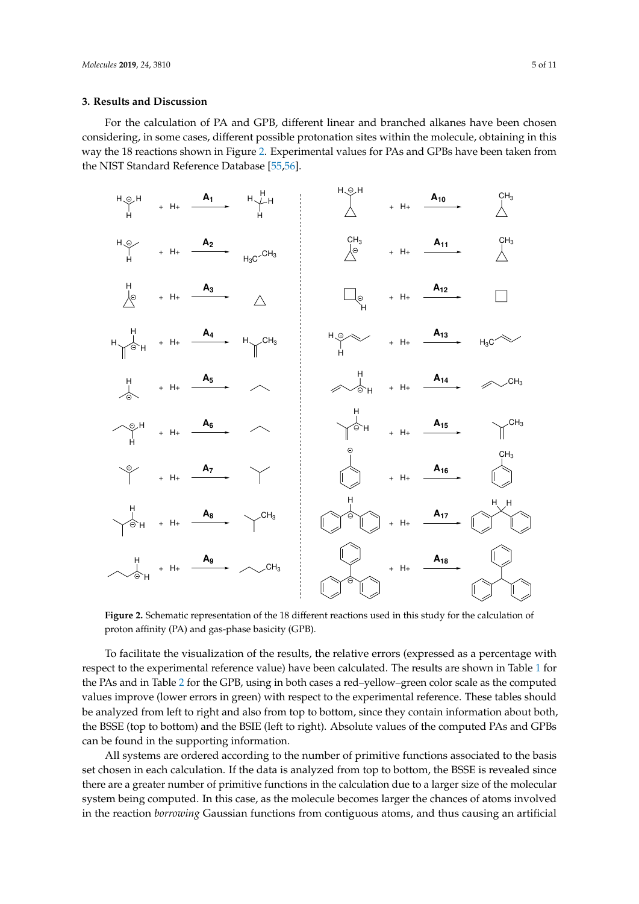#### **3. Results and Discussion**

For the calculation of PA and GPB, different linear and branched alkanes have been chosen considering, in some cases, different possible protonation sites within the molecule, obtaining in this way the 18 reactions shown in Figure [2.](#page-4-0) Experimental values for PAs and GPBs have been taken from the NIST Standard Reference Database [\[55,](#page-9-13)[56\]](#page-9-14).

<span id="page-4-0"></span>

**Figure 2.** Schematic representation of the 18 different reactions used in this study for the calculation of proton affinity (PA) and gas-phase basicity (GPB).

To facilitate the visualization of the results, the relative errors (expressed as a percentage with respect to the experimental reference value) have been calculated. The results are shown in Table [1](#page-5-0) for the PAs and in Table [2](#page-5-1) for the GPB, using in both cases a red–yellow–green color scale as the computed values improve (lower errors in green) with respect to the experimental reference. These tables should be analyzed from left to right and also from top to bottom, since they contain information about both, the BSSE (top to bottom) and the BSIE (left to right). Absolute values of the computed PAs and GPBs can be found in the supporting information.

All systems are ordered according to the number of primitive functions associated to the basis set chosen in each calculation. If the data is analyzed from top to bottom, the BSSE is revealed since there are a greater number of primitive functions in the calculation due to a larger size of the molecular system being computed. In this case, as the molecule becomes larger the chances of atoms involved in the reaction *borrowing* Gaussian functions from contiguous atoms, and thus causing an artificial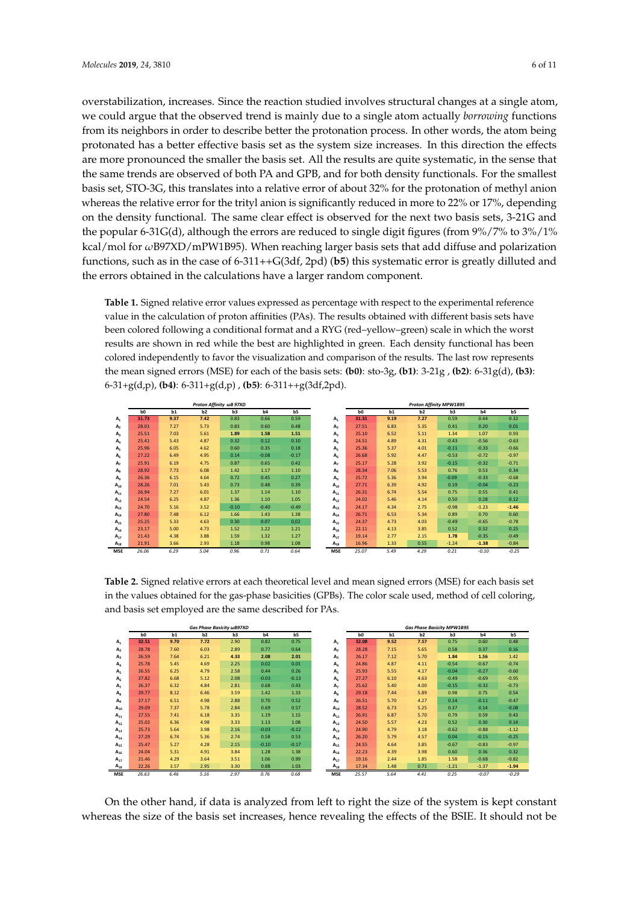overstabilization, increases. Since the reaction studied involves structural changes at a single atom, we could argue that the observed trend is mainly due to a single atom actually *borrowing* functions from its neighbors in order to describe better the protonation process. In other words, the atom being protonated has a better effective basis set as the system size increases. In this direction the effects are more pronounced the smaller the basis set. All the results are quite systematic, in the sense that the same trends are observed of both PA and GPB, and for both density functionals. For the smallest basis set, STO-3G, this translates into a relative error of about 32% for the protonation of methyl anion whereas the relative error for the trityl anion is significantly reduced in more to 22% or 17%, depending on the density functional. The same clear effect is observed for the next two basis sets, 3-21G and the popular 6-31G(d), although the errors are reduced to single digit figures (from 9%/7% to 3%/1% kcal/mol for *ω*B97XD/mPW1B95). When reaching larger basis sets that add diffuse and polarization functions, such as in the case of 6-311++G(3df, 2pd) (**b5**) this systematic error is greatly dilluted and the errors obtained in the calculations have a larger random component.

<span id="page-5-0"></span>**Table 1.** Signed relative error values expressed as percentage with respect to the experimental reference value in the calculation of proton affinities (PAs). The results obtained with different basis sets have been colored following a conditional format and a RYG (red–yellow–green) scale in which the worst results are shown in red while the best are highlighted in green. Each density functional has been colored independently to favor the visualization and comparison of the results. The last row represents the mean signed errors (MSE) for each of the basis sets: **(b0)**: sto-3g, **(b1)**: 3-21g , **(b2)**: 6-31g(d), **(b3)**: 6-31+g(d,p), **(b4)**: 6-311+g(d,p) , **(b5)**: 6-311++g(3df,2pd).

|                | Proton Affinity wB 97XD |      |      |         |         |         |                | Proton Affinity MPW1B95 |      |      |         |                |         |  |
|----------------|-------------------------|------|------|---------|---------|---------|----------------|-------------------------|------|------|---------|----------------|---------|--|
|                | b <sub>0</sub>          | b1   | b2   | b3      | b4      | b5      |                | b <sub>0</sub>          | b1   | b2   | b3      | b <sub>4</sub> | b5      |  |
| А,             | 31.73                   | 9.37 | 7.42 | 0.83    | 0.66    | 0.59    | $A_1$          | 31.31                   | 9.19 | 7.27 | 0.59    | 0.44           | 0.32    |  |
| A <sub>2</sub> | 28.01                   | 7.27 | 5.73 | 0.83    | 0.60    | 0.48    | A <sub>2</sub> | 27.51                   | 6.83 | 5.35 | 0.41    | 0.20           | 0.01    |  |
| $A_3$          | 25.51                   | 7.03 | 5.61 | 1.89    | 1.58    | 1.51    | $A_3$          | 25.10                   | 6.52 | 5.11 | 1.34    | 1.07           | 0.93    |  |
| $A_4$          | 25.41                   | 5.43 | 4.87 | 0.32    | 0.12    | 0.10    | $A_4$          | 24.51                   | 4.89 | 4.31 | $-0.43$ | $-0.56$        | $-0.63$ |  |
| $A_{5}$        | 25.96                   | 6.05 | 4.62 | 0.60    | 0.35    | 0.18    | $A_{5}$        | 25.36                   | 5.37 | 4.01 | $-0.11$ | $-0.33$        | $-0.66$ |  |
| A <sub>6</sub> | 27.22                   | 6.49 | 4.95 | 0.14    | $-0.08$ | $-0.17$ | $A_{6}$        | 26.68                   | 5.92 | 4.47 | $-0.53$ | $-0.72$        | $-0.97$ |  |
| A <sub>7</sub> | 25.91                   | 6.19 | 4.75 | 0.87    | 0.65    | 0.42    | A <sub>7</sub> | 25.17                   | 5.28 | 3.92 | $-0.15$ | $-0.32$        | $-0.71$ |  |
| $A_8$          | 28.92                   | 7.73 | 6.08 | 1.42    | 1.17    | 1.10    | $A_{\rm R}$    | 28.34                   | 7.06 | 5.53 | 0.76    | 0.53           | 0.34    |  |
| $A_{q}$        | 26.36                   | 6.15 | 4.64 | 0.72    | 0.45    | 0.27    | $A_{q}$        | 25.72                   | 5.36 | 3.94 | $-0.09$ | $-0.33$        | $-0.68$ |  |
| $A_{10}$       | 28.26                   | 7.01 | 5.43 | 0.73    | 0.48    | 0.39    | $A_{10}$       | 27.71                   | 6.39 | 4.92 | 0.19    | $-0.04$        | $-0.23$ |  |
| $A_{11}$       | 26.94                   | 7.27 | 6.01 | 1.37    | 1.14    | 1.10    | $A_{11}$       | 26.31                   | 6.74 | 5.54 | 0.75    | 0.55           | 0.41    |  |
| $A_{12}$       | 24.54                   | 6.25 | 4.87 | 1.36    | 1.10    | 1.05    | $A_{12}$       | 24.02                   | 5.46 | 4.14 | 0.50    | 0.28           | 0.12    |  |
| $A_{13}$       | 24.70                   | 5.16 | 3.52 | $-0.10$ | $-0.40$ | $-0.49$ | $A_{13}$       | 24.17                   | 4.34 | 2.75 | $-0.98$ | $-1.23$        | $-1.46$ |  |
| $A_{14}$       | 27.80                   | 7.48 | 6.12 | 1.66    | 1.43    | 1.38    | $A_{14}$       | 26.71                   | 6.53 | 5.34 | 0.89    | 0.70           | 0.60    |  |
| $A_{15}$       | 25.25                   | 5.33 | 4.63 | 0.30    | 0.07    | 0,02    | $A_{15}$       | 24.37                   | 4.73 | 4.03 | $-0.49$ | $-0.65$        | $-0.78$ |  |
| $A_{16}$       | 23.17                   | 5.00 | 4.73 | 1.52    | 1.22    | 1.21    | $A_{16}$       | 22.11                   | 4.13 | 3.85 | 0.52    | 0.32           | 0.25    |  |
| $A_{17}$       | 21.43                   | 4.38 | 3.88 | 1.59    | 1.32    | 1.27    | $A_{17}$       | 19.14                   | 2.77 | 2.15 | 1.78    | $-0.35$        | $-0.49$ |  |
| $A_{18}$       | 21.91                   | 3.66 | 2.93 | 1.18    | 0.98    | 1.08    | $A_{18}$       | 16.96                   | 1.33 | 0.55 | $-1.24$ | $-1.38$        | $-0.84$ |  |
| MSE            | 26.06                   | 6.29 | 5.04 | 0.96    | 0.71    | 0.64    | MSE            | 25.07                   | 5.49 | 4.29 | 0.21    | $-0.10$        | $-0.25$ |  |

<span id="page-5-1"></span>**Table 2.** Signed relative errors at each theoretical level and mean signed errors (MSE) for each basis set in the values obtained for the gas-phase basicities (GPBs). The color scale used, method of cell coloring, and basis set employed are the same described for PAs.

|                |                |      | <b>Gas Phase Basicity wB97XD</b> |      |                |         |                | <b>Gas Phase Basicity MPW1B95</b> |      |                |         |                |         |  |
|----------------|----------------|------|----------------------------------|------|----------------|---------|----------------|-----------------------------------|------|----------------|---------|----------------|---------|--|
|                | b <sub>0</sub> | b1   | b <sub>2</sub>                   | b3   | b <sub>4</sub> | b5      |                | b0                                | b1   | b <sub>2</sub> | b3      | b <sub>4</sub> | b5      |  |
| $A_1$          | 32.51          | 9.70 | 7.72                             | 2.90 | 0.82           | 0.75    | $A_1$          | 32.08                             | 9.52 | 7.57           | 0.75    | 0.60           | 0.48    |  |
| А,             | 28.78          | 7.60 | 6.03                             | 2.89 | 0.77           | 0.64    | А,             | 28.28                             | 7.15 | 5.65           | 0.58    | 0.37           | 0.16    |  |
| $A_{2}$        | 26.59          | 7.64 | 6.21                             | 4.33 | 2.08           | 2.01    | $A_{2}$        | 26.17                             | 7.12 | 5.70           | 1.84    | 1.56           | 1.42    |  |
| $A_4$          | 25.78          | 5.45 | 4.69                             | 2.25 | 0.02           | 0.01    | $A_4$          | 24.86                             | 4.87 | 4.11           | $-0.54$ | $-0.67$        | $-0.74$ |  |
| Aς             | 26.55          | 6.25 | 4.79                             | 2.58 | 0.44           | 0.26    | Aς             | 25.93                             | 5.55 | 4.17           | $-0.04$ | $-0.27$        | $-0.60$ |  |
| $A_6$          | 27.82          | 6.68 | 5.12                             | 2.08 | $-0.03$        | $-0.13$ | A <sub>6</sub> | 27.27                             | 6.10 | 4.63           | $-0.49$ | $-0.69$        | $-0.95$ |  |
| A <sub>7</sub> | 26.37          | 6.32 | 4.84                             | 2.81 | 0.68           | 0.43    | А,             | 25.62                             | 5.40 | 4.00           | $-0.15$ | $-0.32$        | $-0.73$ |  |
| $A_{R}$        | 29.77          | 8.12 | 6.46                             | 3.59 | 1.42           | 1.33    | $A_{R}$        | 29.18                             | 7.44 | 5.89           | 0.98    | 0.75           | 0.54    |  |
| A <sub>q</sub> | 27.17          | 6.51 | 4.98                             | 2.88 | 0.70           | 0.52    | Aq             | 26.51                             | 5.70 | 4.27           | 0.14    | $-0.11$        | $-0.47$ |  |
| $A_{10}$       | 29.09          | 7.37 | 5.78                             | 2.84 | 0.69           | 0.57    | $A_{10}$       | 28.52                             | 6.73 | 5.25           | 0.37    | 0.14           | $-0.08$ |  |
| $A_{11}$       | 27.55          | 7.41 | 6.18                             | 3.35 | 1.19           | 1.15    | $A_{11}$       | 26.91                             | 6.87 | 5.70           | 0.79    | 0.59           | 0.43    |  |
| $A_{12}$       | 25.02          | 6.36 | 4.98                             | 3.33 | 1.13           | 1.08    | $A_{12}$       | 24.50                             | 5.57 | 4.23           | 0.52    | 0.30           | 0.14    |  |
| $A_{12}$       | 25.73          | 5.64 | 3.98                             | 2.16 | $-0.03$        | $-0.12$ | $A_{12}$       | 24.90                             | 4.79 | 3.18           | $-0.62$ | $-0.88$        | $-1.12$ |  |
| $A_{14}$       | 27.29          | 6.74 | 5.36                             | 2.74 | 0.58           | 0.53    | $A_{14}$       | 26.20                             | 5.79 | 4.57           | 0.04    | $-0.15$        | $-0.25$ |  |
| $A_{15}$       | 25.47          | 5.27 | 4.28                             | 2.15 | $-0.10$        | $-0.17$ | $A_{15}$       | 24.55                             | 4.64 | 3.85           | $-0.67$ | $-0.83$        | $-0.97$ |  |
| $A_{16}$       | 24.04          | 5.31 | 4.91                             | 3.84 | 1.28           | 1.38    | $A_{16}$       | 22.23                             | 4.39 | 3.98           | 0.60    | 0.36           | 0.32    |  |
| $A_{17}$       | 21.46          | 4.29 | 3.64                             | 3.51 | 1.06           | 0.99    | $A_{17}$       | 19.16                             | 2.44 | 1.85           | 1.58    | $-0.68$        | $-0.82$ |  |
| $A_{18}$       | 22.26          | 3.57 | 2.95                             | 3.30 | 0.88           | 1.03    | $A_{18}$       | 17.34                             | 1.48 | 0.71           | $-1.21$ | $-1.37$        | $-1.94$ |  |
| MSE            | 26.63          | 6.46 | 5.16                             | 2.97 | 0.76           | 0.68    | <b>MSE</b>     | 25.57                             | 5.64 | 4.41           | 0.25    | $-0.07$        | $-0.29$ |  |

On the other hand, if data is analyzed from left to right the size of the system is kept constant whereas the size of the basis set increases, hence revealing the effects of the BSIE. It should not be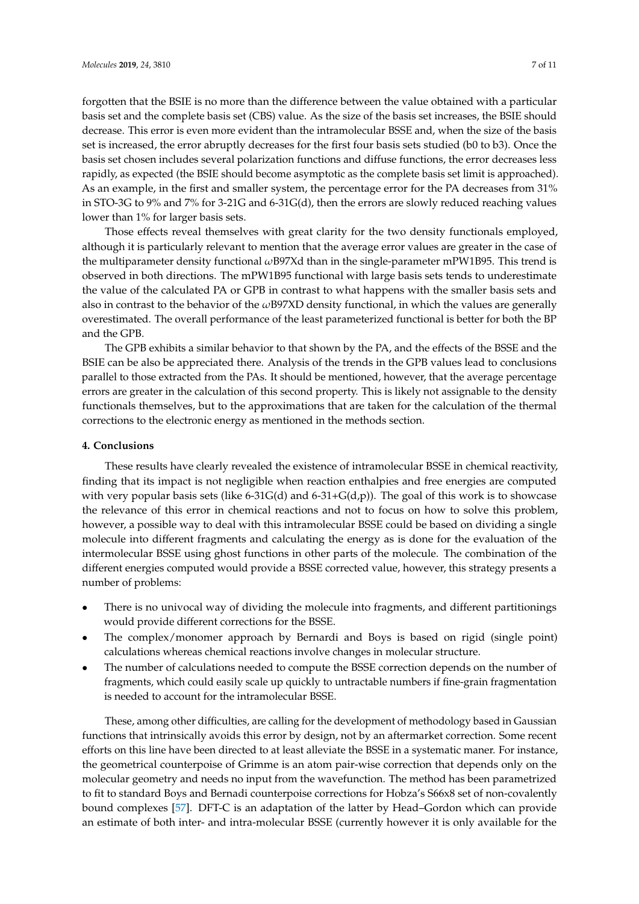forgotten that the BSIE is no more than the difference between the value obtained with a particular basis set and the complete basis set (CBS) value. As the size of the basis set increases, the BSIE should decrease. This error is even more evident than the intramolecular BSSE and, when the size of the basis set is increased, the error abruptly decreases for the first four basis sets studied (b0 to b3). Once the basis set chosen includes several polarization functions and diffuse functions, the error decreases less rapidly, as expected (the BSIE should become asymptotic as the complete basis set limit is approached). As an example, in the first and smaller system, the percentage error for the PA decreases from 31% in STO-3G to 9% and 7% for 3-21G and 6-31G(d), then the errors are slowly reduced reaching values lower than 1% for larger basis sets.

Those effects reveal themselves with great clarity for the two density functionals employed, although it is particularly relevant to mention that the average error values are greater in the case of the multiparameter density functional *ω*B97Xd than in the single-parameter mPW1B95. This trend is observed in both directions. The mPW1B95 functional with large basis sets tends to underestimate the value of the calculated PA or GPB in contrast to what happens with the smaller basis sets and also in contrast to the behavior of the *ω*B97XD density functional, in which the values are generally overestimated. The overall performance of the least parameterized functional is better for both the BP and the GPB.

The GPB exhibits a similar behavior to that shown by the PA, and the effects of the BSSE and the BSIE can be also be appreciated there. Analysis of the trends in the GPB values lead to conclusions parallel to those extracted from the PAs. It should be mentioned, however, that the average percentage errors are greater in the calculation of this second property. This is likely not assignable to the density functionals themselves, but to the approximations that are taken for the calculation of the thermal corrections to the electronic energy as mentioned in the methods section.

### **4. Conclusions**

These results have clearly revealed the existence of intramolecular BSSE in chemical reactivity, finding that its impact is not negligible when reaction enthalpies and free energies are computed with very popular basis sets (like 6-31G(d) and 6-31+G(d,p)). The goal of this work is to showcase the relevance of this error in chemical reactions and not to focus on how to solve this problem, however, a possible way to deal with this intramolecular BSSE could be based on dividing a single molecule into different fragments and calculating the energy as is done for the evaluation of the intermolecular BSSE using ghost functions in other parts of the molecule. The combination of the different energies computed would provide a BSSE corrected value, however, this strategy presents a number of problems:

- There is no univocal way of dividing the molecule into fragments, and different partitionings would provide different corrections for the BSSE.
- The complex/monomer approach by Bernardi and Boys is based on rigid (single point) calculations whereas chemical reactions involve changes in molecular structure.
- The number of calculations needed to compute the BSSE correction depends on the number of fragments, which could easily scale up quickly to untractable numbers if fine-grain fragmentation is needed to account for the intramolecular BSSE.

These, among other difficulties, are calling for the development of methodology based in Gaussian functions that intrinsically avoids this error by design, not by an aftermarket correction. Some recent efforts on this line have been directed to at least alleviate the BSSE in a systematic maner. For instance, the geometrical counterpoise of Grimme is an atom pair-wise correction that depends only on the molecular geometry and needs no input from the wavefunction. The method has been parametrized to fit to standard Boys and Bernadi counterpoise corrections for Hobza's S66x8 set of non-covalently bound complexes [\[57\]](#page-10-0). DFT-C is an adaptation of the latter by Head–Gordon which can provide an estimate of both inter- and intra-molecular BSSE (currently however it is only available for the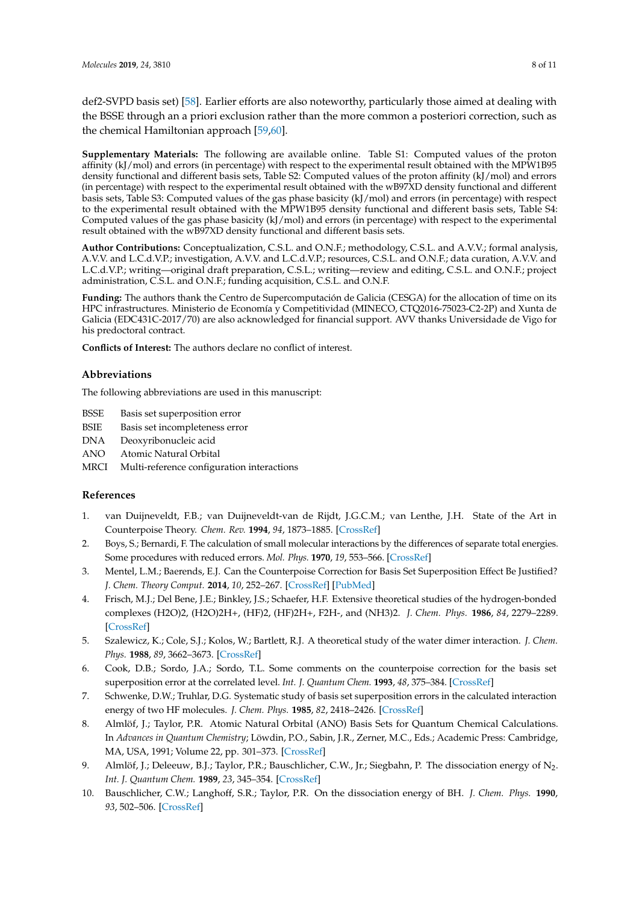**Supplementary Materials:** The following are available online. Table S1: Computed values of the proton affinity (kJ/mol) and errors (in percentage) with respect to the experimental result obtained with the MPW1B95 density functional and different basis sets, Table S2: Computed values of the proton affinity (kJ/mol) and errors (in percentage) with respect to the experimental result obtained with the wB97XD density functional and different basis sets, Table S3: Computed values of the gas phase basicity (kJ/mol) and errors (in percentage) with respect to the experimental result obtained with the MPW1B95 density functional and different basis sets, Table S4: Computed values of the gas phase basicity (kJ/mol) and errors (in percentage) with respect to the experimental result obtained with the wB97XD density functional and different basis sets.

**Author Contributions:** Conceptualization, C.S.L. and O.N.F.; methodology, C.S.L. and A.V.V.; formal analysis, A.V.V. and L.C.d.V.P.; investigation, A.V.V. and L.C.d.V.P.; resources, C.S.L. and O.N.F.; data curation, A.V.V. and L.C.d.V.P.; writing—original draft preparation, C.S.L.; writing—review and editing, C.S.L. and O.N.F.; project administration, C.S.L. and O.N.F.; funding acquisition, C.S.L. and O.N.F.

**Funding:** The authors thank the Centro de Supercomputación de Galicia (CESGA) for the allocation of time on its HPC infrastructures. Ministerio de Economía y Competitividad (MINECO, CTQ2016-75023-C2-2P) and Xunta de Galicia (EDC431C-2017/70) are also acknowledged for financial support. AVV thanks Universidade de Vigo for his predoctoral contract.

**Conflicts of Interest:** The authors declare no conflict of interest.

# **Abbreviations**

The following abbreviations are used in this manuscript:

- BSSE Basis set superposition error
- BSIE Basis set incompleteness error
- DNA Deoxyribonucleic acid
- ANO Atomic Natural Orbital
- MRCI Multi-reference configuration interactions

## **References**

- <span id="page-7-0"></span>1. van Duijneveldt, F.B.; van Duijneveldt-van de Rijdt, J.G.C.M.; van Lenthe, J.H. State of the Art in Counterpoise Theory. *Chem. Rev.* **1994**, *94*, 1873–1885. [\[CrossRef\]](http://dx.doi.org/10.1021/cr00031a007)
- <span id="page-7-1"></span>2. Boys, S.; Bernardi, F. The calculation of small molecular interactions by the differences of separate total energies. Some procedures with reduced errors. *Mol. Phys.* **1970**, *19*, 553–566. [\[CrossRef\]](http://dx.doi.org/10.1080/00268977000101561)
- <span id="page-7-2"></span>3. Mentel, L.M.; Baerends, E.J. Can the Counterpoise Correction for Basis Set Superposition Effect Be Justified? *J. Chem. Theory Comput.* **2014**, *10*, 252–267. [\[CrossRef\]](http://dx.doi.org/10.1021/ct400990u) [\[PubMed\]](http://www.ncbi.nlm.nih.gov/pubmed/26579908)
- 4. Frisch, M.J.; Del Bene, J.E.; Binkley, J.S.; Schaefer, H.F. Extensive theoretical studies of the hydrogen-bonded complexes (H2O)2, (H2O)2H+, (HF)2, (HF)2H+, F2H-, and (NH3)2. *J. Chem. Phys.* **1986**, *84*, 2279–2289. [\[CrossRef\]](http://dx.doi.org/10.1063/1.450390)
- 5. Szalewicz, K.; Cole, S.J.; Kolos, W.; Bartlett, R.J. A theoretical study of the water dimer interaction. *J. Chem. Phys.* **1988**, *89*, 3662–3673. [\[CrossRef\]](http://dx.doi.org/10.1063/1.454886)
- 6. Cook, D.B.; Sordo, J.A.; Sordo, T.L. Some comments on the counterpoise correction for the basis set superposition error at the correlated level. *Int. J. Quantum Chem.* **1993**, *48*, 375–384. [\[CrossRef\]](http://dx.doi.org/10.1002/qua.560480605)
- <span id="page-7-3"></span>7. Schwenke, D.W.; Truhlar, D.G. Systematic study of basis set superposition errors in the calculated interaction energy of two HF molecules. *J. Chem. Phys.* **1985**, *82*, 2418–2426. [\[CrossRef\]](http://dx.doi.org/10.1063/1.448335)
- <span id="page-7-4"></span>8. Almlöf, J.; Taylor, P.R. Atomic Natural Orbital (ANO) Basis Sets for Quantum Chemical Calculations. In *Advances in Quantum Chemistry*; Löwdin, P.O., Sabin, J.R., Zerner, M.C., Eds.; Academic Press: Cambridge, MA, USA, 1991; Volume 22, pp. 301–373. [\[CrossRef\]](http://dx.doi.org/10.1016/S0065-3276(08)60366-4)
- 9. Almlöf, J.; Deleeuw, B.J.; Taylor, P.R.; Bauschlicher, C.W., Jr.; Siegbahn, P. The dissociation energy of N2. *Int. J. Quantum Chem.* **1989**, *23*, 345–354. [\[CrossRef\]](http://dx.doi.org/10.1002/qua.560360838)
- <span id="page-7-5"></span>10. Bauschlicher, C.W.; Langhoff, S.R.; Taylor, P.R. On the dissociation energy of BH. *J. Chem. Phys.* **1990**, *93*, 502–506. [\[CrossRef\]](http://dx.doi.org/10.1063/1.459550)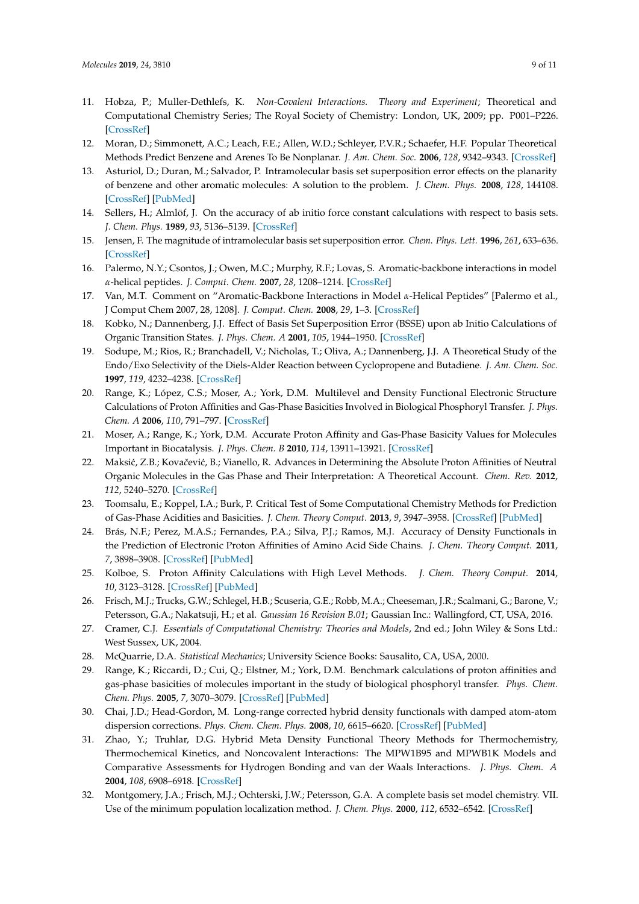- <span id="page-8-0"></span>11. Hobza, P.; Muller-Dethlefs, K. *Non-Covalent Interactions. Theory and Experiment*; Theoretical and Computational Chemistry Series; The Royal Society of Chemistry: London, UK, 2009; pp. P001–P226. [\[CrossRef\]](http://dx.doi.org/10.1039/9781847559906)
- <span id="page-8-1"></span>12. Moran, D.; Simmonett, A.C.; Leach, F.E.; Allen, W.D.; Schleyer, P.V.R.; Schaefer, H.F. Popular Theoretical Methods Predict Benzene and Arenes To Be Nonplanar. *J. Am. Chem. Soc.* **2006**, *128*, 9342–9343. [\[CrossRef\]](http://dx.doi.org/10.1021/ja0630285)
- <span id="page-8-2"></span>13. Asturiol, D.; Duran, M.; Salvador, P. Intramolecular basis set superposition error effects on the planarity of benzene and other aromatic molecules: A solution to the problem. *J. Chem. Phys.* **2008**, *128*, 144108. [\[CrossRef\]](http://dx.doi.org/10.1063/1.2902974) [\[PubMed\]](http://www.ncbi.nlm.nih.gov/pubmed/18412424)
- <span id="page-8-3"></span>14. Sellers, H.; Almlöf, J. On the accuracy of ab initio force constant calculations with respect to basis sets. *J. Chem. Phys.* **1989**, *93*, 5136–5139. [\[CrossRef\]](http://dx.doi.org/10.1021/j100350a022)
- 15. Jensen, F. The magnitude of intramolecular basis set superposition error. *Chem. Phys. Lett.* **1996**, *261*, 633–636. [\[CrossRef\]](http://dx.doi.org/10.1016/0009-2614(96)01033-0)
- 16. Palermo, N.Y.; Csontos, J.; Owen, M.C.; Murphy, R.F.; Lovas, S. Aromatic-backbone interactions in model *α*-helical peptides. *J. Comput. Chem.* **2007**, *28*, 1208–1214. [\[CrossRef\]](http://dx.doi.org/10.1002/jcc.20578)
- <span id="page-8-4"></span>17. Van, M.T. Comment on "Aromatic-Backbone Interactions in Model *α*-Helical Peptides" [Palermo et al., J Comput Chem 2007, 28, 1208]. *J. Comput. Chem.* **2008**, *29*, 1–3. [\[CrossRef\]](http://dx.doi.org/10.1002/jcc.20869)
- <span id="page-8-5"></span>18. Kobko, N.; Dannenberg, J.J. Effect of Basis Set Superposition Error (BSSE) upon ab Initio Calculations of Organic Transition States. *J. Phys. Chem. A* **2001**, *105*, 1944–1950. [\[CrossRef\]](http://dx.doi.org/10.1021/jp001970b)
- <span id="page-8-6"></span>19. Sodupe, M.; Rios, R.; Branchadell, V.; Nicholas, T.; Oliva, A.; Dannenberg, J.J. A Theoretical Study of the Endo/Exo Selectivity of the Diels-Alder Reaction between Cyclopropene and Butadiene. *J. Am. Chem. Soc.* **1997**, *119*, 4232–4238. [\[CrossRef\]](http://dx.doi.org/10.1021/ja9628260)
- <span id="page-8-7"></span>20. Range, K.; López, C.S.; Moser, A.; York, D.M. Multilevel and Density Functional Electronic Structure Calculations of Proton Affinities and Gas-Phase Basicities Involved in Biological Phosphoryl Transfer. *J. Phys. Chem. A* **2006**, *110*, 791–797. [\[CrossRef\]](http://dx.doi.org/10.1021/jp054360q)
- <span id="page-8-8"></span>21. Moser, A.; Range, K.; York, D.M. Accurate Proton Affinity and Gas-Phase Basicity Values for Molecules Important in Biocatalysis. *J. Phys. Chem. B* **2010**, *114*, 13911–13921. [\[CrossRef\]](http://dx.doi.org/10.1021/jp107450n)
- 22. Maksić, Z.B.; Kovačević, B.; Vianello, R. Advances in Determining the Absolute Proton Affinities of Neutral Organic Molecules in the Gas Phase and Their Interpretation: A Theoretical Account. *Chem. Rev.* **2012**, *112*, 5240–5270. [\[CrossRef\]](http://dx.doi.org/10.1021/cr100458v)
- 23. Toomsalu, E.; Koppel, I.A.; Burk, P. Critical Test of Some Computational Chemistry Methods for Prediction of Gas-Phase Acidities and Basicities. *J. Chem. Theory Comput.* **2013**, *9*, 3947–3958. [\[CrossRef\]](http://dx.doi.org/10.1021/ct4003916) [\[PubMed\]](http://www.ncbi.nlm.nih.gov/pubmed/26592390)
- 24. Brás, N.F.; Perez, M.A.S.; Fernandes, P.A.; Silva, P.J.; Ramos, M.J. Accuracy of Density Functionals in the Prediction of Electronic Proton Affinities of Amino Acid Side Chains. *J. Chem. Theory Comput.* **2011**, *7*, 3898–3908. [\[CrossRef\]](http://dx.doi.org/10.1021/ct200309v) [\[PubMed\]](http://www.ncbi.nlm.nih.gov/pubmed/26598336)
- <span id="page-8-9"></span>25. Kolboe, S. Proton Affinity Calculations with High Level Methods. *J. Chem. Theory Comput.* **2014**, *10*, 3123–3128. [\[CrossRef\]](http://dx.doi.org/10.1021/ct500315c) [\[PubMed\]](http://www.ncbi.nlm.nih.gov/pubmed/26588283)
- <span id="page-8-10"></span>26. Frisch, M.J.; Trucks, G.W.; Schlegel, H.B.; Scuseria, G.E.; Robb, M.A.; Cheeseman, J.R.; Scalmani, G.; Barone, V.; Petersson, G.A.; Nakatsuji, H.; et al. *Gaussian 16 Revision B.01*; Gaussian Inc.: Wallingford, CT, USA, 2016.
- <span id="page-8-11"></span>27. Cramer, C.J. *Essentials of Computational Chemistry: Theories and Models*, 2nd ed.; John Wiley & Sons Ltd.: West Sussex, UK, 2004.
- <span id="page-8-12"></span>28. McQuarrie, D.A. *Statistical Mechanics*; University Science Books: Sausalito, CA, USA, 2000.
- <span id="page-8-13"></span>29. Range, K.; Riccardi, D.; Cui, Q.; Elstner, M.; York, D.M. Benchmark calculations of proton affinities and gas-phase basicities of molecules important in the study of biological phosphoryl transfer. *Phys. Chem. Chem. Phys.* **2005**, *7*, 3070–3079. [\[CrossRef\]](http://dx.doi.org/10.1039/b504941e) [\[PubMed\]](http://www.ncbi.nlm.nih.gov/pubmed/16186912)
- <span id="page-8-14"></span>30. Chai, J.D.; Head-Gordon, M. Long-range corrected hybrid density functionals with damped atom-atom dispersion corrections. *Phys. Chem. Chem. Phys.* **2008**, *10*, 6615–6620. [\[CrossRef\]](http://dx.doi.org/10.1039/b810189b) [\[PubMed\]](http://www.ncbi.nlm.nih.gov/pubmed/18989472)
- <span id="page-8-15"></span>31. Zhao, Y.; Truhlar, D.G. Hybrid Meta Density Functional Theory Methods for Thermochemistry, Thermochemical Kinetics, and Noncovalent Interactions: The MPW1B95 and MPWB1K Models and Comparative Assessments for Hydrogen Bonding and van der Waals Interactions. *J. Phys. Chem. A* **2004**, *108*, 6908–6918. [\[CrossRef\]](http://dx.doi.org/10.1021/jp048147q)
- <span id="page-8-16"></span>32. Montgomery, J.A.; Frisch, M.J.; Ochterski, J.W.; Petersson, G.A. A complete basis set model chemistry. VII. Use of the minimum population localization method. *J. Chem. Phys.* **2000**, *112*, 6532–6542. [\[CrossRef\]](http://dx.doi.org/10.1063/1.481224)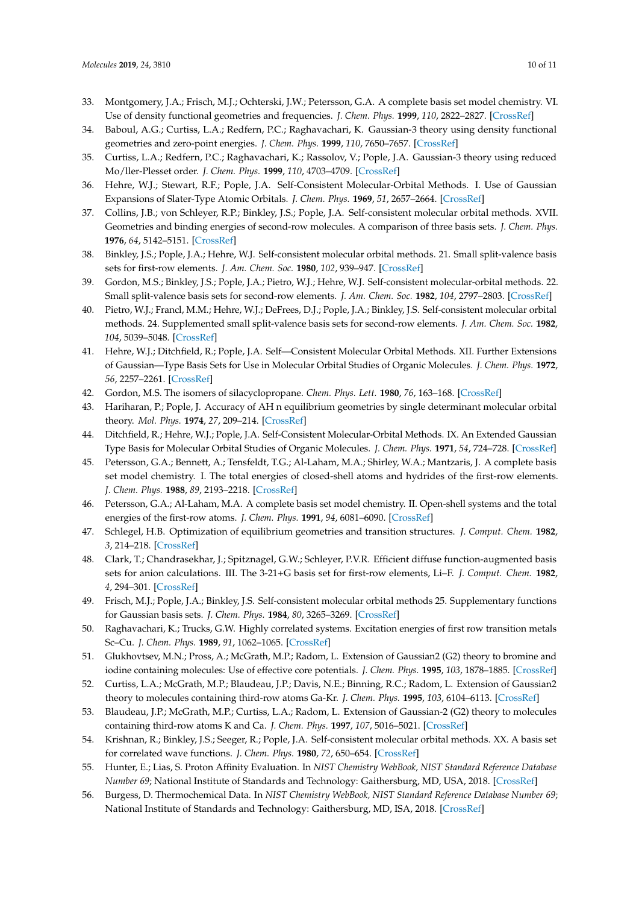- 33. Montgomery, J.A.; Frisch, M.J.; Ochterski, J.W.; Petersson, G.A. A complete basis set model chemistry. VI. Use of density functional geometries and frequencies. *J. Chem. Phys.* **1999**, *110*, 2822–2827. [\[CrossRef\]](http://dx.doi.org/10.1063/1.477924)
- 34. Baboul, A.G.; Curtiss, L.A.; Redfern, P.C.; Raghavachari, K. Gaussian-3 theory using density functional geometries and zero-point energies. *J. Chem. Phys.* **1999**, *110*, 7650–7657. [\[CrossRef\]](http://dx.doi.org/10.1063/1.478676)
- <span id="page-9-0"></span>35. Curtiss, L.A.; Redfern, P.C.; Raghavachari, K.; Rassolov, V.; Pople, J.A. Gaussian-3 theory using reduced Mo/ller-Plesset order. *J. Chem. Phys.* **1999**, *110*, 4703–4709. [\[CrossRef\]](http://dx.doi.org/10.1063/1.478385)
- <span id="page-9-1"></span>36. Hehre, W.J.; Stewart, R.F.; Pople, J.A. Self-Consistent Molecular-Orbital Methods. I. Use of Gaussian Expansions of Slater-Type Atomic Orbitals. *J. Chem. Phys.* **1969**, *51*, 2657–2664. [\[CrossRef\]](http://dx.doi.org/10.1063/1.1672392)
- <span id="page-9-2"></span>37. Collins, J.B.; von Schleyer, R.P.; Binkley, J.S.; Pople, J.A. Self-consistent molecular orbital methods. XVII. Geometries and binding energies of second-row molecules. A comparison of three basis sets. *J. Chem. Phys.* **1976**, *64*, 5142–5151. [\[CrossRef\]](http://dx.doi.org/10.1063/1.432189)
- <span id="page-9-3"></span>38. Binkley, J.S.; Pople, J.A.; Hehre, W.J. Self-consistent molecular orbital methods. 21. Small split-valence basis sets for first-row elements. *J. Am. Chem. Soc.* **1980**, *102*, 939–947. [\[CrossRef\]](http://dx.doi.org/10.1021/ja00523a008)
- 39. Gordon, M.S.; Binkley, J.S.; Pople, J.A.; Pietro, W.J.; Hehre, W.J. Self-consistent molecular-orbital methods. 22. Small split-valence basis sets for second-row elements. *J. Am. Chem. Soc.* **1982**, *104*, 2797–2803. [\[CrossRef\]](http://dx.doi.org/10.1021/ja00374a017)
- <span id="page-9-4"></span>40. Pietro, W.J.; Francl, M.M.; Hehre, W.J.; DeFrees, D.J.; Pople, J.A.; Binkley, J.S. Self-consistent molecular orbital methods. 24. Supplemented small split-valence basis sets for second-row elements. *J. Am. Chem. Soc.* **1982**, *104*, 5039–5048. [\[CrossRef\]](http://dx.doi.org/10.1021/ja00383a007)
- <span id="page-9-5"></span>41. Hehre, W.J.; Ditchfield, R.; Pople, J.A. Self—Consistent Molecular Orbital Methods. XII. Further Extensions of Gaussian—Type Basis Sets for Use in Molecular Orbital Studies of Organic Molecules. *J. Chem. Phys.* **1972**, *56*, 2257–2261. [\[CrossRef\]](http://dx.doi.org/10.1063/1.1677527)
- 42. Gordon, M.S. The isomers of silacyclopropane. *Chem. Phys. Lett.* **1980**, *76*, 163–168. [\[CrossRef\]](http://dx.doi.org/10.1016/0009-2614(80)80628-2)
- 43. Hariharan, P.; Pople, J. Accuracy of AH n equilibrium geometries by single determinant molecular orbital theory. *Mol. Phys.* **1974**, *27*, 209–214. [\[CrossRef\]](http://dx.doi.org/10.1080/00268977400100171)
- 44. Ditchfield, R.; Hehre, W.J.; Pople, J.A. Self-Consistent Molecular-Orbital Methods. IX. An Extended Gaussian Type Basis for Molecular Orbital Studies of Organic Molecules. *J. Chem. Phys.* **1971**, *54*, 724–728. [\[CrossRef\]](http://dx.doi.org/10.1063/1.1674902)
- <span id="page-9-6"></span>45. Petersson, G.A.; Bennett, A.; Tensfeldt, T.G.; Al-Laham, M.A.; Shirley, W.A.; Mantzaris, J. A complete basis set model chemistry. I. The total energies of closed-shell atoms and hydrides of the first-row elements. *J. Chem. Phys.* **1988**, *89*, 2193–2218. [\[CrossRef\]](http://dx.doi.org/10.1063/1.455064)
- <span id="page-9-7"></span>46. Petersson, G.A.; Al-Laham, M.A. A complete basis set model chemistry. II. Open-shell systems and the total energies of the first-row atoms. *J. Chem. Phys.* **1991**, *94*, 6081–6090. [\[CrossRef\]](http://dx.doi.org/10.1063/1.460447)
- 47. Schlegel, H.B. Optimization of equilibrium geometries and transition structures. *J. Comput. Chem.* **1982**, *3*, 214–218. [\[CrossRef\]](http://dx.doi.org/10.1002/jcc.540030212)
- <span id="page-9-8"></span>48. Clark, T.; Chandrasekhar, J.; Spitznagel, G.W.; Schleyer, P.V.R. Efficient diffuse function-augmented basis sets for anion calculations. III. The 3-21+G basis set for first-row elements, Li–F. *J. Comput. Chem.* **1982**, *4*, 294–301. [\[CrossRef\]](http://dx.doi.org/10.1002/jcc.540040303)
- <span id="page-9-9"></span>49. Frisch, M.J.; Pople, J.A.; Binkley, J.S. Self-consistent molecular orbital methods 25. Supplementary functions for Gaussian basis sets. *J. Chem. Phys.* **1984**, *80*, 3265–3269. [\[CrossRef\]](http://dx.doi.org/10.1063/1.447079)
- <span id="page-9-10"></span>50. Raghavachari, K.; Trucks, G.W. Highly correlated systems. Excitation energies of first row transition metals Sc–Cu. *J. Chem. Phys.* **1989**, *91*, 1062–1065. [\[CrossRef\]](http://dx.doi.org/10.1063/1.457230)
- <span id="page-9-11"></span>51. Glukhovtsev, M.N.; Pross, A.; McGrath, M.P.; Radom, L. Extension of Gaussian2 (G2) theory to bromine and iodine containing molecules: Use of effective core potentials. *J. Chem. Phys.* **1995**, *103*, 1878–1885. [\[CrossRef\]](http://dx.doi.org/10.1063/1.469712)
- 52. Curtiss, L.A.; McGrath, M.P.; Blaudeau, J.P.; Davis, N.E.; Binning, R.C.; Radom, L. Extension of Gaussian2 theory to molecules containing third-row atoms Ga-Kr. *J. Chem. Phys.* **1995**, *103*, 6104–6113. [\[CrossRef\]](http://dx.doi.org/10.1063/1.470438)
- 53. Blaudeau, J.P.; McGrath, M.P.; Curtiss, L.A.; Radom, L. Extension of Gaussian-2 (G2) theory to molecules containing third-row atoms K and Ca. *J. Chem. Phys.* **1997**, *107*, 5016–5021. [\[CrossRef\]](http://dx.doi.org/10.1063/1.474865)
- <span id="page-9-12"></span>54. Krishnan, R.; Binkley, J.S.; Seeger, R.; Pople, J.A. Self-consistent molecular orbital methods. XX. A basis set for correlated wave functions. *J. Chem. Phys.* **1980**, *72*, 650–654. [\[CrossRef\]](http://dx.doi.org/10.1063/1.438955)
- <span id="page-9-13"></span>55. Hunter, E.; Lias, S. Proton Affinity Evaluation. In *NIST Chemistry WebBook, NIST Standard Reference Database Number 69*; National Institute of Standards and Technology: Gaithersburg, MD, USA, 2018. [\[CrossRef\]](http://dx.doi.org/10.18434/T4D303)
- <span id="page-9-14"></span>56. Burgess, D. Thermochemical Data. In *NIST Chemistry WebBook, NIST Standard Reference Database Number 69*; National Institute of Standards and Technology: Gaithersburg, MD, ISA, 2018. [\[CrossRef\]](http://dx.doi.org/10.18434/T4D303)